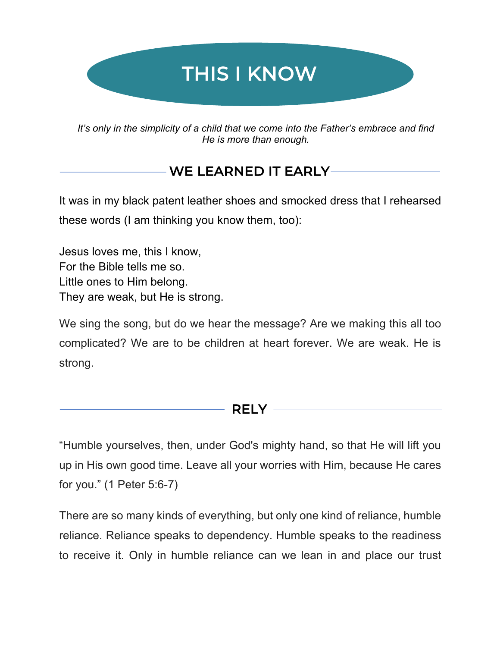

*It's only in the simplicity of a child that we come into the Father's embrace and find He is more than enough.* 

# WE LEARNED IT EARLY

It was in my black patent leather shoes and smocked dress that I rehearsed these words (I am thinking you know them, too):

Jesus loves me, this I know, For the Bible tells me so. Little ones to Him belong. They are weak, but He is strong.

We sing the song, but do we hear the message? Are we making this all too complicated? We are to be children at heart forever. We are weak. He is strong.

#### RELY ——

"Humble yourselves, then, under God's mighty hand, so that He will lift you up in His own good time. Leave all your worries with Him, because He cares for you." (1 Peter 5:6-7)

There are so many kinds of everything, but only one kind of reliance, humble reliance. Reliance speaks to dependency. Humble speaks to the readiness to receive it. Only in humble reliance can we lean in and place our trust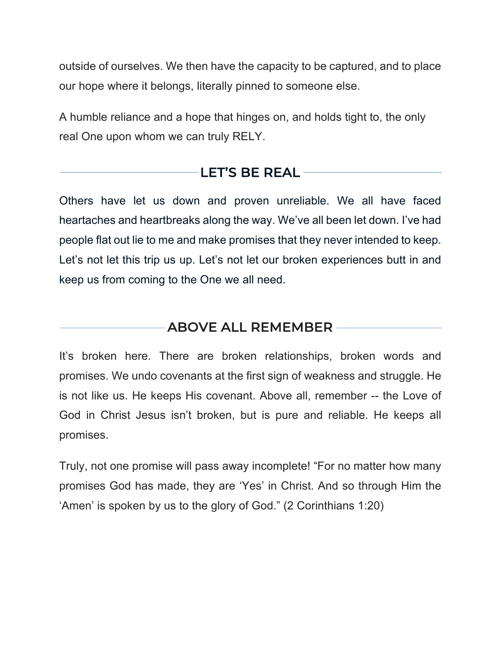outside of ourselves. We then have the capacity to be captured, and to place our hope where it belongs, literally pinned to someone else.

A humble reliance and a hope that hinges on, and holds tight to, the only real One upon whom we can truly RELY.

## LET'S BE REAL

Others have let us down and proven unreliable. We all have faced heartaches and heartbreaks along the way. We've all been let down. I've had people flat out lie to me and make promises that they never intended to keep. Let's not let this trip us up. Let's not let our broken experiences butt in and keep us from coming to the One we all need.

### ABOVE ALL REMEMBER

It's broken here. There are broken relationships, broken words and promises. We undo covenants at the first sign of weakness and struggle. He is not like us. He keeps His covenant. Above all, remember -- the Love of God in Christ Jesus isn't broken, but is pure and reliable. He keeps all promises.

Truly, not one promise will pass away incomplete! "For no matter how many promises God has made, they are 'Yes' in Christ. And so through Him the 'Amen' is spoken by us to the glory of God." (2 Corinthians 1:20)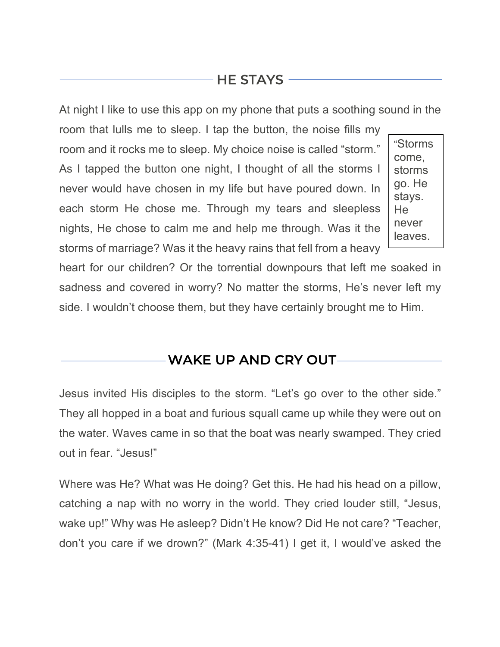# HE STAYS

At night I like to use this app on my phone that puts a soothing sound in the

room that lulls me to sleep. I tap the button, the noise fills my room and it rocks me to sleep. My choice noise is called "storm." As I tapped the button one night, I thought of all the storms I never would have chosen in my life but have poured down. In each storm He chose me. Through my tears and sleepless nights, He chose to calm me and help me through. Was it the storms of marriage? Was it the heavy rains that fell from a heavy

 $\overline{a}$ 

"Storms come, storms go. He stays. He never leaves.

heart for our children? Or the torrential downpours that left me soaked in sadness and covered in worry? No matter the storms, He's never left my side. I wouldn't choose them, but they have certainly brought me to Him.

WAKE UP AND CRY OUT

Jesus invited His disciples to the storm. "Let's go over to the other side." They all hopped in a boat and furious squall came up while they were out on the water. Waves came in so that the boat was nearly swamped. They cried out in fear. "Jesus!"

Where was He? What was He doing? Get this. He had his head on a pillow, catching a nap with no worry in the world. They cried louder still, "Jesus, wake up!" Why was He asleep? Didn't He know? Did He not care? "Teacher, don't you care if we drown?" (Mark 4:35-41) I get it, I would've asked the